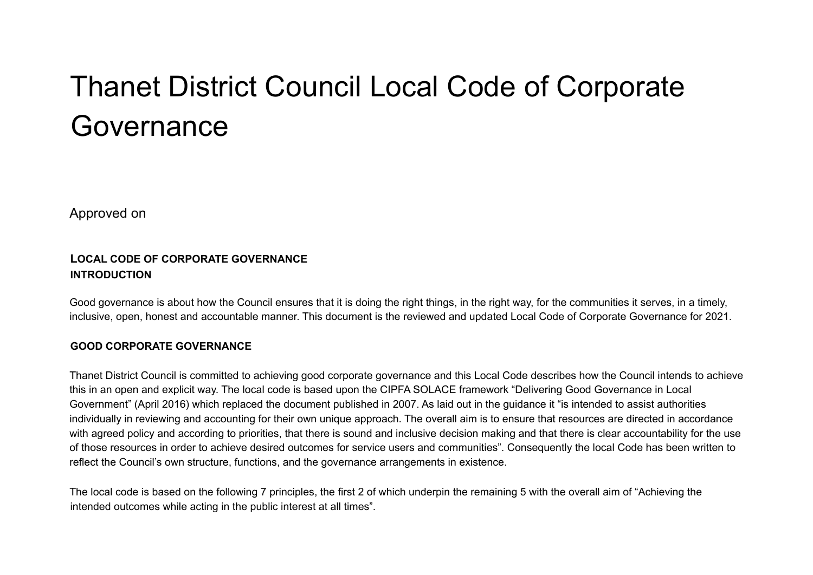# Thanet District Council Local Code of Corporate Governance

Approved on

# **LOCAL CODE OF CORPORATE GOVERNANCE INTRODUCTION**

Good governance is about how the Council ensures that it is doing the right things, in the right way, for the communities it serves, in a timely, inclusive, open, honest and accountable manner. This document is the reviewed and updated Local Code of Corporate Governance for 2021.

# **GOOD CORPORATE GOVERNANCE**

Thanet District Council is committed to achieving good corporate governance and this Local Code describes how the Council intends to achieve this in an open and explicit way. The local code is based upon the CIPFA SOLACE framework "Delivering Good Governance in Local Government" (April 2016) which replaced the document published in 2007. As laid out in the guidance it "is intended to assist authorities individually in reviewing and accounting for their own unique approach. The overall aim is to ensure that resources are directed in accordance with agreed policy and according to priorities, that there is sound and inclusive decision making and that there is clear accountability for the use of those resources in order to achieve desired outcomes for service users and communities". Consequently the local Code has been written to reflect the Council's own structure, functions, and the governance arrangements in existence.

The local code is based on the following 7 principles, the first 2 of which underpin the remaining 5 with the overall aim of "Achieving the intended outcomes while acting in the public interest at all times".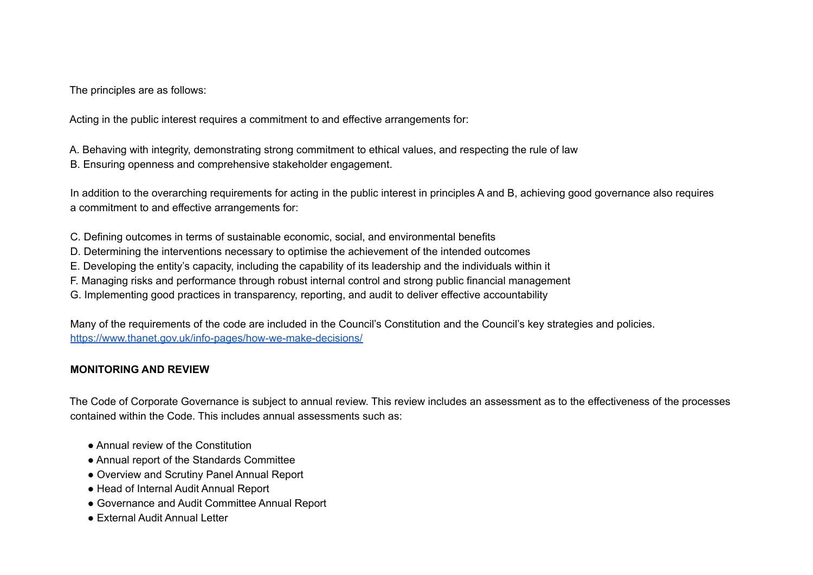The principles are as follows:

Acting in the public interest requires a commitment to and effective arrangements for:

A. Behaving with integrity, demonstrating strong commitment to ethical values, and respecting the rule of law B. Ensuring openness and comprehensive stakeholder engagement.

In addition to the overarching requirements for acting in the public interest in principles A and B, achieving good governance also requires a commitment to and effective arrangements for:

C. Defining outcomes in terms of sustainable economic, social, and environmental benefits

- D. Determining the interventions necessary to optimise the achievement of the intended outcomes
- E. Developing the entity's capacity, including the capability of its leadership and the individuals within it
- F. Managing risks and performance through robust internal control and strong public financial management
- G. Implementing good practices in transparency, reporting, and audit to deliver effective accountability

Many of the requirements of the code are included in the Council's Constitution and the Council's key strategies and policies. <https://www.thanet.gov.uk/info-pages/how-we-make-decisions/>

# **MONITORING AND REVIEW**

The Code of Corporate Governance is subject to annual review. This review includes an assessment as to the effectiveness of the processes contained within the Code. This includes annual assessments such as:

- Annual review of the Constitution
- Annual report of the Standards Committee
- Overview and Scrutiny Panel Annual Report
- Head of Internal Audit Annual Report
- Governance and Audit Committee Annual Report
- External Audit Annual Letter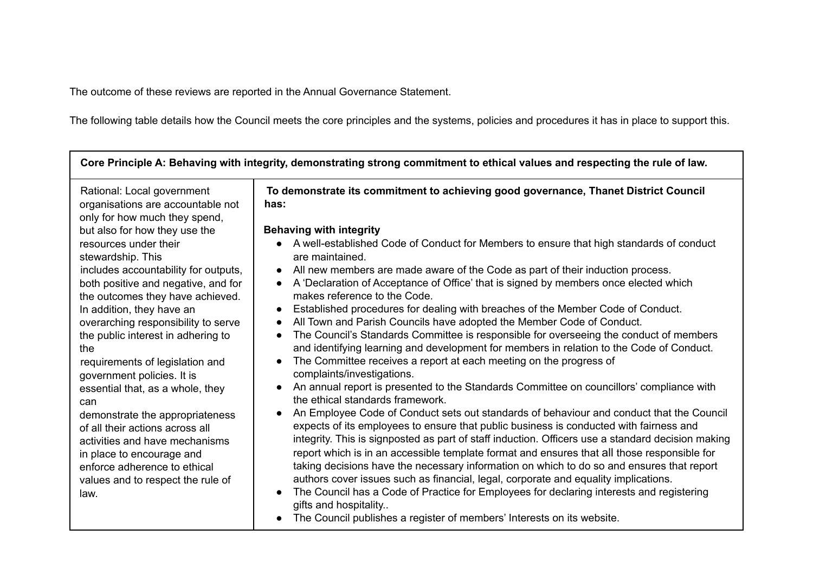The outcome of these reviews are reported in the Annual Governance Statement.

The following table details how the Council meets the core principles and the systems, policies and procedures it has in place to support this.

| Core Principle A: Behaving with integrity, demonstrating strong commitment to ethical values and respecting the rule of law.                                                                           |                                                                                                                                                                                                                                                                                                                                                                                                                                                                                                                                                                            |  |
|--------------------------------------------------------------------------------------------------------------------------------------------------------------------------------------------------------|----------------------------------------------------------------------------------------------------------------------------------------------------------------------------------------------------------------------------------------------------------------------------------------------------------------------------------------------------------------------------------------------------------------------------------------------------------------------------------------------------------------------------------------------------------------------------|--|
| Rational: Local government<br>organisations are accountable not<br>only for how much they spend,                                                                                                       | To demonstrate its commitment to achieving good governance, Thanet District Council<br>has:                                                                                                                                                                                                                                                                                                                                                                                                                                                                                |  |
| but also for how they use the                                                                                                                                                                          | <b>Behaving with integrity</b>                                                                                                                                                                                                                                                                                                                                                                                                                                                                                                                                             |  |
| resources under their<br>stewardship. This                                                                                                                                                             | A well-established Code of Conduct for Members to ensure that high standards of conduct<br>are maintained.                                                                                                                                                                                                                                                                                                                                                                                                                                                                 |  |
| includes accountability for outputs,                                                                                                                                                                   | All new members are made aware of the Code as part of their induction process.                                                                                                                                                                                                                                                                                                                                                                                                                                                                                             |  |
| both positive and negative, and for<br>the outcomes they have achieved.                                                                                                                                | A 'Declaration of Acceptance of Office' that is signed by members once elected which<br>$\bullet$<br>makes reference to the Code.                                                                                                                                                                                                                                                                                                                                                                                                                                          |  |
| In addition, they have an                                                                                                                                                                              | Established procedures for dealing with breaches of the Member Code of Conduct.                                                                                                                                                                                                                                                                                                                                                                                                                                                                                            |  |
| overarching responsibility to serve                                                                                                                                                                    | All Town and Parish Councils have adopted the Member Code of Conduct.<br>$\bullet$                                                                                                                                                                                                                                                                                                                                                                                                                                                                                         |  |
| the public interest in adhering to                                                                                                                                                                     | The Council's Standards Committee is responsible for overseeing the conduct of members<br>$\bullet$                                                                                                                                                                                                                                                                                                                                                                                                                                                                        |  |
| the                                                                                                                                                                                                    | and identifying learning and development for members in relation to the Code of Conduct.                                                                                                                                                                                                                                                                                                                                                                                                                                                                                   |  |
| requirements of legislation and                                                                                                                                                                        | The Committee receives a report at each meeting on the progress of                                                                                                                                                                                                                                                                                                                                                                                                                                                                                                         |  |
| government policies. It is                                                                                                                                                                             | complaints/investigations.                                                                                                                                                                                                                                                                                                                                                                                                                                                                                                                                                 |  |
|                                                                                                                                                                                                        | An annual report is presented to the Standards Committee on councillors' compliance with                                                                                                                                                                                                                                                                                                                                                                                                                                                                                   |  |
| essential that, as a whole, they<br>can                                                                                                                                                                | the ethical standards framework.                                                                                                                                                                                                                                                                                                                                                                                                                                                                                                                                           |  |
| demonstrate the appropriateness<br>of all their actions across all<br>activities and have mechanisms<br>in place to encourage and<br>enforce adherence to ethical<br>values and to respect the rule of | An Employee Code of Conduct sets out standards of behaviour and conduct that the Council<br>expects of its employees to ensure that public business is conducted with fairness and<br>integrity. This is signposted as part of staff induction. Officers use a standard decision making<br>report which is in an accessible template format and ensures that all those responsible for<br>taking decisions have the necessary information on which to do so and ensures that report<br>authors cover issues such as financial, legal, corporate and equality implications. |  |
| law.                                                                                                                                                                                                   | The Council has a Code of Practice for Employees for declaring interests and registering<br>gifts and hospitality                                                                                                                                                                                                                                                                                                                                                                                                                                                          |  |
|                                                                                                                                                                                                        | The Council publishes a register of members' Interests on its website.                                                                                                                                                                                                                                                                                                                                                                                                                                                                                                     |  |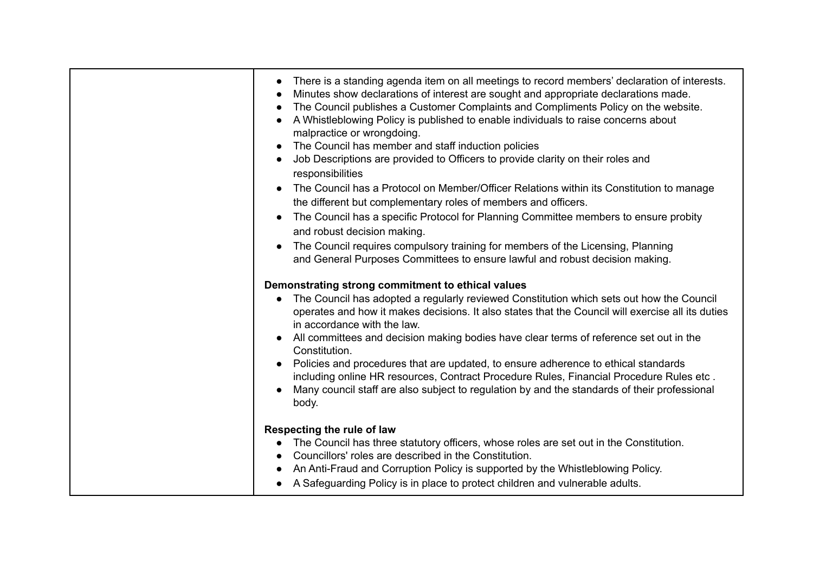| There is a standing agenda item on all meetings to record members' declaration of interests.<br>Minutes show declarations of interest are sought and appropriate declarations made.<br>The Council publishes a Customer Complaints and Compliments Policy on the website.<br>A Whistleblowing Policy is published to enable individuals to raise concerns about<br>malpractice or wrongdoing.<br>The Council has member and staff induction policies<br>Job Descriptions are provided to Officers to provide clarity on their roles and<br>responsibilities<br>The Council has a Protocol on Member/Officer Relations within its Constitution to manage<br>the different but complementary roles of members and officers.<br>The Council has a specific Protocol for Planning Committee members to ensure probity<br>and robust decision making.<br>The Council requires compulsory training for members of the Licensing, Planning |
|-------------------------------------------------------------------------------------------------------------------------------------------------------------------------------------------------------------------------------------------------------------------------------------------------------------------------------------------------------------------------------------------------------------------------------------------------------------------------------------------------------------------------------------------------------------------------------------------------------------------------------------------------------------------------------------------------------------------------------------------------------------------------------------------------------------------------------------------------------------------------------------------------------------------------------------|
| and General Purposes Committees to ensure lawful and robust decision making.<br>Demonstrating strong commitment to ethical values<br>The Council has adopted a regularly reviewed Constitution which sets out how the Council<br>operates and how it makes decisions. It also states that the Council will exercise all its duties<br>in accordance with the law.<br>All committees and decision making bodies have clear terms of reference set out in the<br>Constitution.<br>Policies and procedures that are updated, to ensure adherence to ethical standards<br>including online HR resources, Contract Procedure Rules, Financial Procedure Rules etc.<br>Many council staff are also subject to regulation by and the standards of their professional<br>body.                                                                                                                                                              |
| Respecting the rule of law<br>The Council has three statutory officers, whose roles are set out in the Constitution.<br>Councillors' roles are described in the Constitution.<br>An Anti-Fraud and Corruption Policy is supported by the Whistleblowing Policy.<br>A Safeguarding Policy is in place to protect children and vulnerable adults.                                                                                                                                                                                                                                                                                                                                                                                                                                                                                                                                                                                     |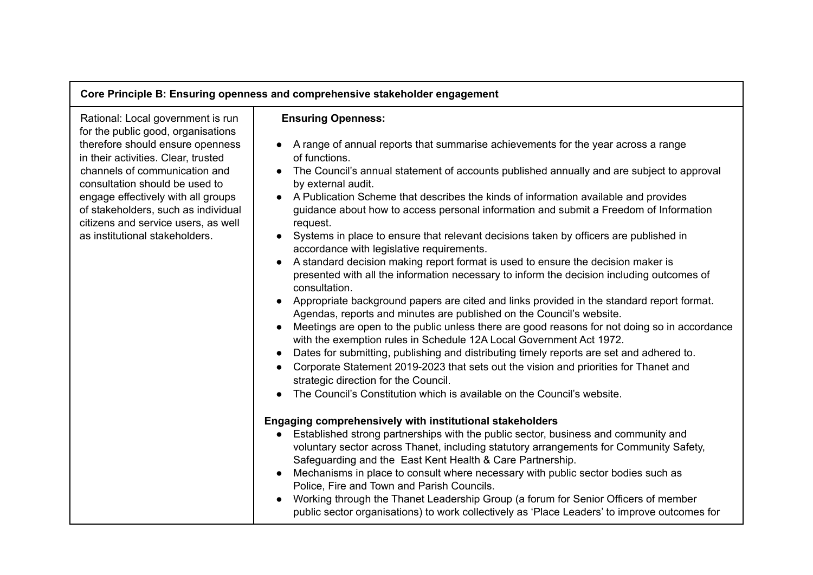# **Core Principle B: Ensuring openness and comprehensive stakeholder engagement**

Rational: Local government is run for the public good, organisations therefore should ensure openness in their activities. Clear, trusted channels of communication and consultation should be used to engage effectively with all groups of stakeholders, such as individual citizens and service users, as well as institutional stakeholders.

### **Ensuring Openness:**

- A range of annual reports that summarise achievements for the year across a range of functions.
- The Council's annual statement of accounts published annually and are subject to approval by external audit.
- A Publication Scheme that describes the kinds of information available and provides guidance about how to access personal information and submit a Freedom of Information request.
- Systems in place to ensure that relevant decisions taken by officers are published in accordance with legislative requirements.
- A standard decision making report format is used to ensure the decision maker is presented with all the information necessary to inform the decision including outcomes of consultation.
- Appropriate background papers are cited and links provided in the standard report format. Agendas, reports and minutes are published on the Council's website.
- Meetings are open to the public unless there are good reasons for not doing so in accordance with the exemption rules in Schedule 12A Local Government Act 1972.
- Dates for submitting, publishing and distributing timely reports are set and adhered to.
- Corporate Statement 2019-2023 that sets out the vision and priorities for Thanet and strategic direction for the Council.
- The Council's Constitution which is available on the Council's website.

### **Engaging comprehensively with institutional stakeholders**

- Established strong partnerships with the public sector, business and community and voluntary sector across Thanet, including statutory arrangements for Community Safety, Safeguarding and the East Kent Health & Care Partnership.
- Mechanisms in place to consult where necessary with public sector bodies such as Police, Fire and Town and Parish Councils.
- Working through the Thanet Leadership Group (a forum for Senior Officers of member public sector organisations) to work collectively as 'Place Leaders' to improve outcomes for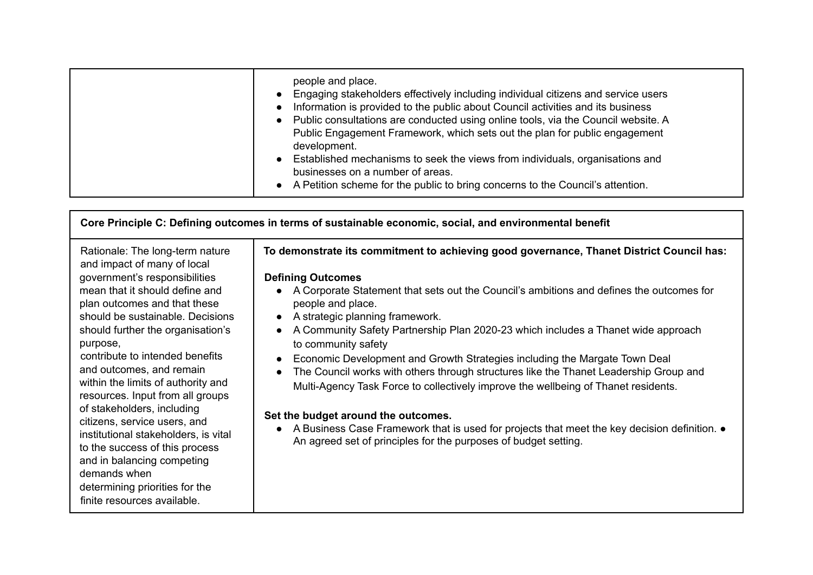| people and place.<br>• Engaging stakeholders effectively including individual citizens and service users<br>• Information is provided to the public about Council activities and its business<br>• Public consultations are conducted using online tools, via the Council website. A<br>Public Engagement Framework, which sets out the plan for public engagement<br>development.<br>Established mechanisms to seek the views from individuals, organisations and<br>businesses on a number of areas.<br>• A Petition scheme for the public to bring concerns to the Council's attention. |
|--------------------------------------------------------------------------------------------------------------------------------------------------------------------------------------------------------------------------------------------------------------------------------------------------------------------------------------------------------------------------------------------------------------------------------------------------------------------------------------------------------------------------------------------------------------------------------------------|
|                                                                                                                                                                                                                                                                                                                                                                                                                                                                                                                                                                                            |

| Core Principle C: Defining outcomes in terms of sustainable economic, social, and environmental benefit                                                                                                                                                                                                                                                                                                                                                                                                                                                                                                                                                |                                                                                                                                                                                                                                                                                                                                                                                                                                                                                                                                                                                                                                                                                                                                                                                                                                                                     |  |
|--------------------------------------------------------------------------------------------------------------------------------------------------------------------------------------------------------------------------------------------------------------------------------------------------------------------------------------------------------------------------------------------------------------------------------------------------------------------------------------------------------------------------------------------------------------------------------------------------------------------------------------------------------|---------------------------------------------------------------------------------------------------------------------------------------------------------------------------------------------------------------------------------------------------------------------------------------------------------------------------------------------------------------------------------------------------------------------------------------------------------------------------------------------------------------------------------------------------------------------------------------------------------------------------------------------------------------------------------------------------------------------------------------------------------------------------------------------------------------------------------------------------------------------|--|
| Rationale: The long-term nature<br>and impact of many of local<br>government's responsibilities<br>mean that it should define and<br>plan outcomes and that these<br>should be sustainable. Decisions<br>should further the organisation's<br>purpose,<br>contribute to intended benefits<br>and outcomes, and remain<br>within the limits of authority and<br>resources. Input from all groups<br>of stakeholders, including<br>citizens, service users, and<br>institutional stakeholders, is vital<br>to the success of this process<br>and in balancing competing<br>demands when<br>determining priorities for the<br>finite resources available. | To demonstrate its commitment to achieving good governance, Thanet District Council has:<br><b>Defining Outcomes</b><br>A Corporate Statement that sets out the Council's ambitions and defines the outcomes for<br>people and place.<br>A strategic planning framework.<br>A Community Safety Partnership Plan 2020-23 which includes a Thanet wide approach<br>to community safety<br>Economic Development and Growth Strategies including the Margate Town Deal<br>The Council works with others through structures like the Thanet Leadership Group and<br>Multi-Agency Task Force to collectively improve the wellbeing of Thanet residents.<br>Set the budget around the outcomes.<br>A Business Case Framework that is used for projects that meet the key decision definition. $\bullet$<br>An agreed set of principles for the purposes of budget setting. |  |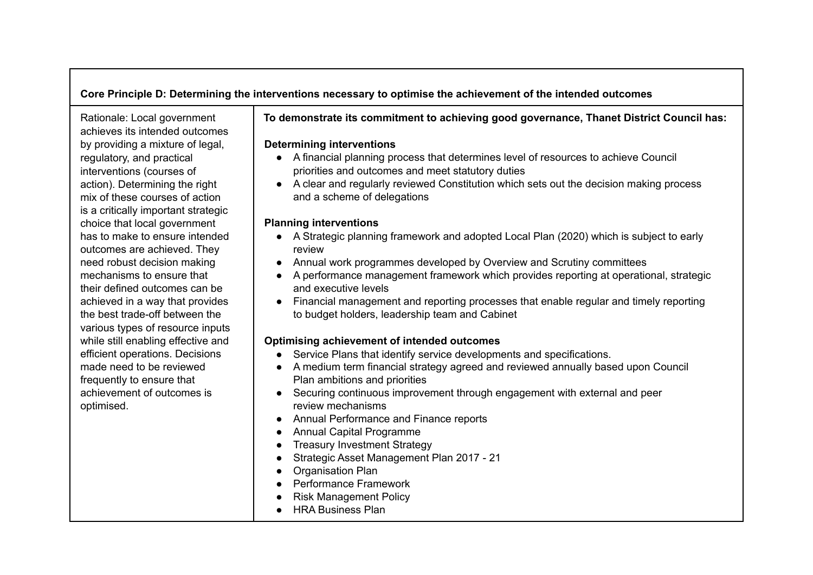# **Core Principle D: Determining the interventions necessary to optimise the achievement of the intended outcomes**

Rationale: Local government achieves its intended outcomes by providing a mixture of legal, regulatory, and practical interventions (courses of action). Determining the right mix of these courses of action is a critically important strategic choice that local government has to make to ensure intended outcomes are achieved. They need robust decision making mechanisms to ensure that their defined outcomes can be achieved in a way that provides the best trade-off between the various types of resource inputs while still enabling effective and efficient operations. Decisions made need to be reviewed frequently to ensure that achievement of outcomes is optimised.

# **To demonstrate its commitment to achieving good governance, Thanet District Council has:**

### **Determining interventions**

- A financial planning process that determines level of resources to achieve Council priorities and outcomes and meet statutory duties
- A clear and regularly reviewed Constitution which sets out the decision making process and a scheme of delegations

### **Planning interventions**

- A Strategic planning framework and adopted Local Plan (2020) which is subject to early review
- Annual work programmes developed by Overview and Scrutiny committees
- A performance management framework which provides reporting at operational, strategic and executive levels
- Financial management and reporting processes that enable regular and timely reporting to budget holders, leadership team and Cabinet

# **Optimising achievement of intended outcomes**

- Service Plans that identify service developments and specifications.
- A medium term financial strategy agreed and reviewed annually based upon Council Plan ambitions and priorities
- Securing continuous improvement through engagement with external and peer review mechanisms
- Annual Performance and Finance reports
- Annual Capital Programme
- Treasury Investment Strategy
- Strategic Asset Management Plan 2017 21
- Organisation Plan
- Performance Framework
- Risk Management Policy
- HRA Business Plan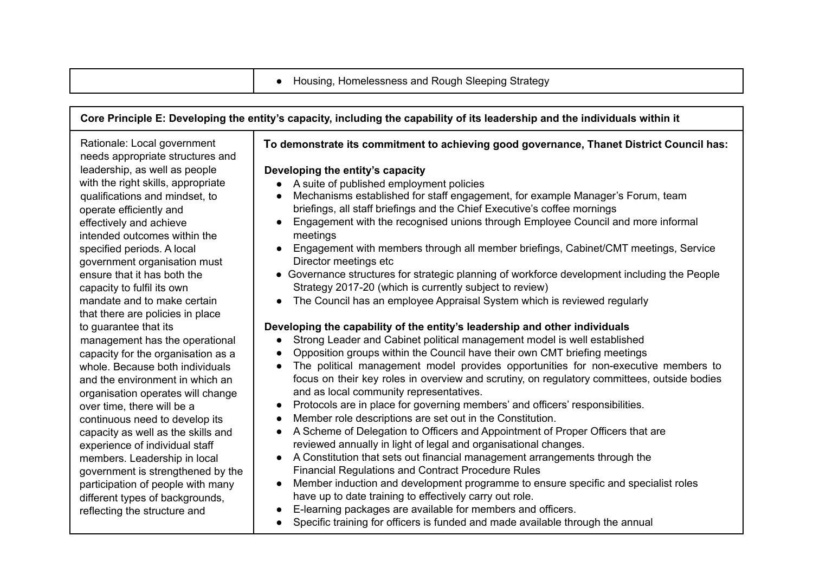|  | Housing, Homelessness and Rough Sleeping Strategy |  |  |
|--|---------------------------------------------------|--|--|
|  |                                                   |  |  |

#### Core Principle E: Developing the entity's capacity, including the capability of its leadership and the individuals within it Rationale: Local government needs appropriate structures and leadership, as well as people with the right skills, appropriate qualifications and mindset, to operate efficiently and effectively and achieve intended outcomes within the specified periods. A local government organisation must ensure that it has both the capacity to fulfil its own mandate and to make certain that there are policies in place to guarantee that its management has the operational capacity for the organisation as a whole. Because both individuals and the environment in which an organisation operates will change over time, there will be a continuous need to develop its capacity as well as the skills and experience of individual staff members. Leadership in local government is strengthened by the participation of people with many different types of backgrounds. reflecting the structure and **To demonstrate its commitment to achieving good governance, Thanet District Council has: Developing the entity's capacity** ● A suite of published employment policies ● Mechanisms established for staff engagement, for example Manager's Forum, team briefings, all staff briefings and the Chief Executive's coffee mornings ● Engagement with the recognised unions through Employee Council and more informal meetings ● Engagement with members through all member briefings, Cabinet/CMT meetings, Service Director meetings etc ● Governance structures for strategic planning of workforce development including the People Strategy 2017-20 (which is currently subject to review) ● The Council has an employee Appraisal System which is reviewed regularly **Developing the capability of the entity's leadership and other individuals** ● Strong Leader and Cabinet political management model is well established ● Opposition groups within the Council have their own CMT briefing meetings ● The political management model provides opportunities for non-executive members to focus on their key roles in overview and scrutiny, on regulatory committees, outside bodies and as local community representatives. ● Protocols are in place for governing members' and officers' responsibilities. ● Member role descriptions are set out in the Constitution. ● A Scheme of Delegation to Officers and Appointment of Proper Officers that are reviewed annually in light of legal and organisational changes. ● A Constitution that sets out financial management arrangements through the Financial Regulations and Contract Procedure Rules ● Member induction and development programme to ensure specific and specialist roles have up to date training to effectively carry out role. ● E-learning packages are available for members and officers. ● Specific training for officers is funded and made available through the annual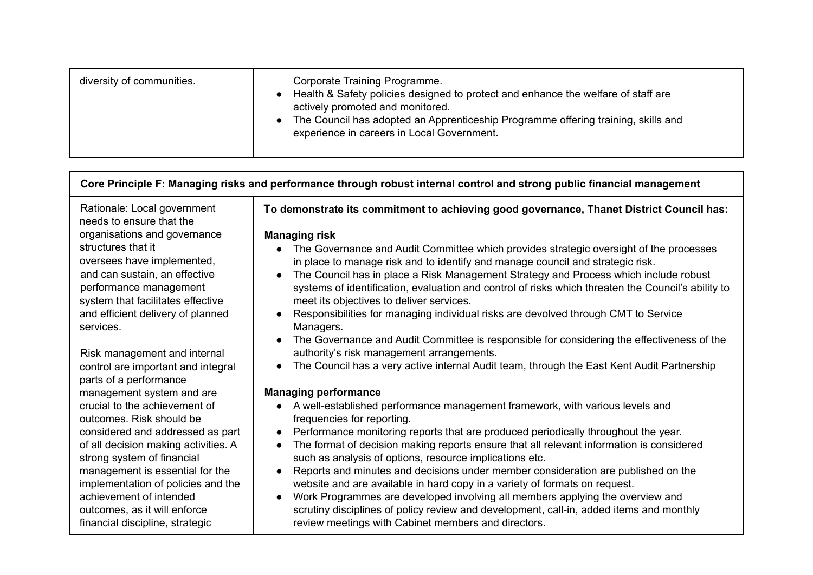| diversity of communities. | Corporate Training Programme.<br>Health & Safety policies designed to protect and enhance the welfare of staff are<br>actively promoted and monitored.<br>The Council has adopted an Apprenticeship Programme offering training, skills and<br>experience in careers in Local Government. |
|---------------------------|-------------------------------------------------------------------------------------------------------------------------------------------------------------------------------------------------------------------------------------------------------------------------------------------|
|                           |                                                                                                                                                                                                                                                                                           |

# Core Principle F: Managing risks and performance through robust internal control and strong public financial management

Rationale: Local government needs to ensure that the organisations and governance structures that it oversees have implemented, and can sustain, an effective performance management system that facilitates effective and efficient delivery of planned services.

Risk management and internal control are important and integral parts of a performance management system and are crucial to the achievement of outcomes. Risk should be considered and addressed as part of all decision making activities. A strong system of financial management is essential for the implementation of policies and the achievement of intended outcomes, as it will enforce financial discipline, strategic

**To demonstrate its commitment to achieving good governance, Thanet District Council has:**

### **Managing risk**

- The Governance and Audit Committee which provides strategic oversight of the processes in place to manage risk and to identify and manage council and strategic risk.
- The Council has in place a Risk Management Strategy and Process which include robust systems of identification, evaluation and control of risks which threaten the Council's ability to meet its objectives to deliver services.
- Responsibilities for managing individual risks are devolved through CMT to Service Managers.
- The Governance and Audit Committee is responsible for considering the effectiveness of the authority's risk management arrangements.
- The Council has a very active internal Audit team, through the East Kent Audit Partnership

### **Managing performance**

- A well-established performance management framework, with various levels and frequencies for reporting.
- Performance monitoring reports that are produced periodically throughout the year.
- The format of decision making reports ensure that all relevant information is considered such as analysis of options, resource implications etc.
- Reports and minutes and decisions under member consideration are published on the website and are available in hard copy in a variety of formats on request.
- Work Programmes are developed involving all members applying the overview and scrutiny disciplines of policy review and development, call-in, added items and monthly review meetings with Cabinet members and directors.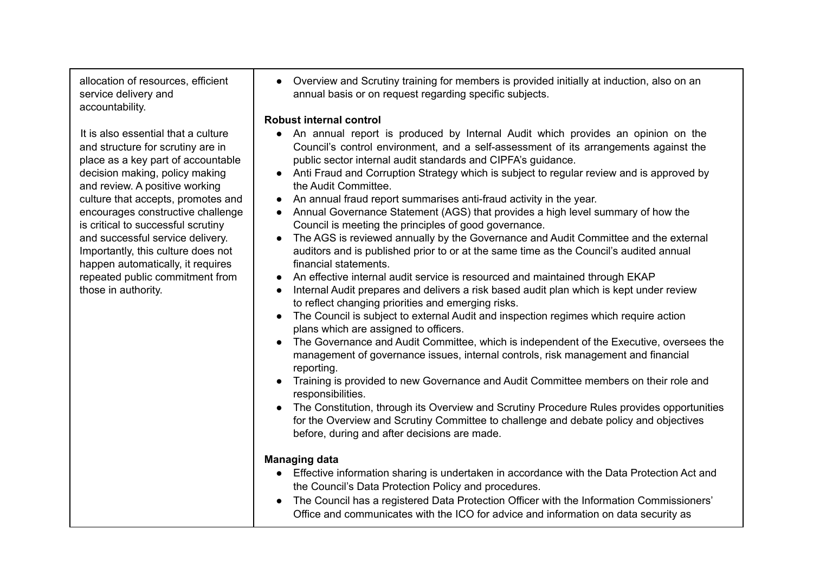allocation of resources, efficient service delivery and accountability.

It is also essential that a culture and structure for scrutiny are in place as a key part of accountable decision making, policy making and review. A positive working culture that accepts, promotes and encourages constructive challenge is critical to successful scrutiny and successful service delivery. Importantly, this culture does not happen automatically, it requires repeated public commitment from those in authority.

● Overview and Scrutiny training for members is provided initially at induction, also on an annual basis or on request regarding specific subjects.

# **Robust internal control**

- An annual report is produced by Internal Audit which provides an opinion on the Council's control environment, and a self-assessment of its arrangements against the public sector internal audit standards and CIPFA's guidance.
- Anti Fraud and Corruption Strategy which is subject to regular review and is approved by the Audit Committee.
- An annual fraud report summarises anti-fraud activity in the year.
- Annual Governance Statement (AGS) that provides a high level summary of how the Council is meeting the principles of good governance.
- The AGS is reviewed annually by the Governance and Audit Committee and the external auditors and is published prior to or at the same time as the Council's audited annual financial statements.
- An effective internal audit service is resourced and maintained through EKAP
- Internal Audit prepares and delivers a risk based audit plan which is kept under review to reflect changing priorities and emerging risks.
- The Council is subject to external Audit and inspection regimes which require action plans which are assigned to officers.
- The Governance and Audit Committee, which is independent of the Executive, oversees the management of governance issues, internal controls, risk management and financial reporting.
- Training is provided to new Governance and Audit Committee members on their role and responsibilities.
- The Constitution, through its Overview and Scrutiny Procedure Rules provides opportunities for the Overview and Scrutiny Committee to challenge and debate policy and objectives before, during and after decisions are made.

# **Managing data**

- Effective information sharing is undertaken in accordance with the Data Protection Act and the Council's Data Protection Policy and procedures.
- The Council has a registered Data Protection Officer with the Information Commissioners' Office and communicates with the ICO for advice and information on data security as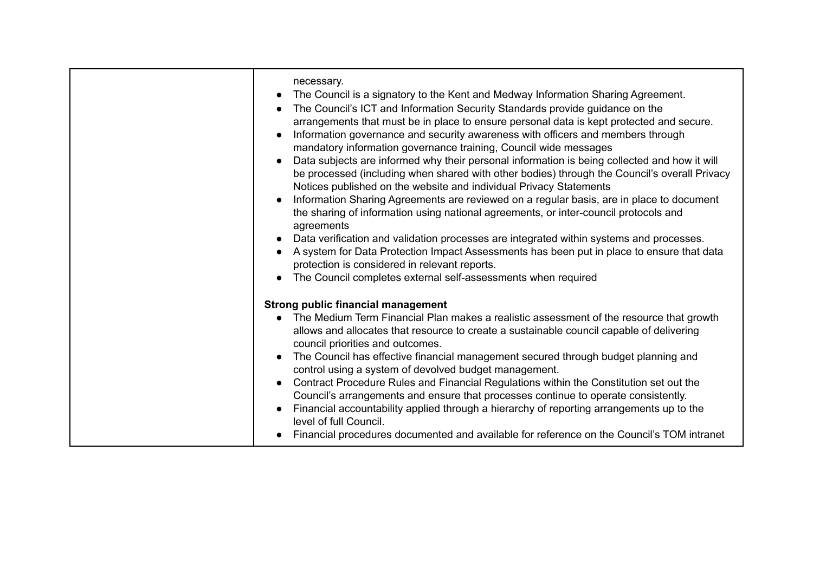| necessary.<br>The Council is a signatory to the Kent and Medway Information Sharing Agreement.<br>The Council's ICT and Information Security Standards provide guidance on the<br>arrangements that must be in place to ensure personal data is kept protected and secure.<br>Information governance and security awareness with officers and members through<br>mandatory information governance training, Council wide messages<br>Data subjects are informed why their personal information is being collected and how it will<br>be processed (including when shared with other bodies) through the Council's overall Privacy<br>Notices published on the website and individual Privacy Statements<br>Information Sharing Agreements are reviewed on a regular basis, are in place to document<br>the sharing of information using national agreements, or inter-council protocols and<br>agreements<br>Data verification and validation processes are integrated within systems and processes.<br>A system for Data Protection Impact Assessments has been put in place to ensure that data<br>protection is considered in relevant reports.<br>The Council completes external self-assessments when required |
|---------------------------------------------------------------------------------------------------------------------------------------------------------------------------------------------------------------------------------------------------------------------------------------------------------------------------------------------------------------------------------------------------------------------------------------------------------------------------------------------------------------------------------------------------------------------------------------------------------------------------------------------------------------------------------------------------------------------------------------------------------------------------------------------------------------------------------------------------------------------------------------------------------------------------------------------------------------------------------------------------------------------------------------------------------------------------------------------------------------------------------------------------------------------------------------------------------------------|
|                                                                                                                                                                                                                                                                                                                                                                                                                                                                                                                                                                                                                                                                                                                                                                                                                                                                                                                                                                                                                                                                                                                                                                                                                     |
| <b>Strong public financial management</b><br>The Medium Term Financial Plan makes a realistic assessment of the resource that growth<br>allows and allocates that resource to create a sustainable council capable of delivering<br>council priorities and outcomes.<br>The Council has effective financial management secured through budget planning and<br>control using a system of devolved budget management.<br>Contract Procedure Rules and Financial Regulations within the Constitution set out the<br>Council's arrangements and ensure that processes continue to operate consistently.<br>Financial accountability applied through a hierarchy of reporting arrangements up to the<br>level of full Council.<br>Financial procedures documented and available for reference on the Council's TOM intranet                                                                                                                                                                                                                                                                                                                                                                                              |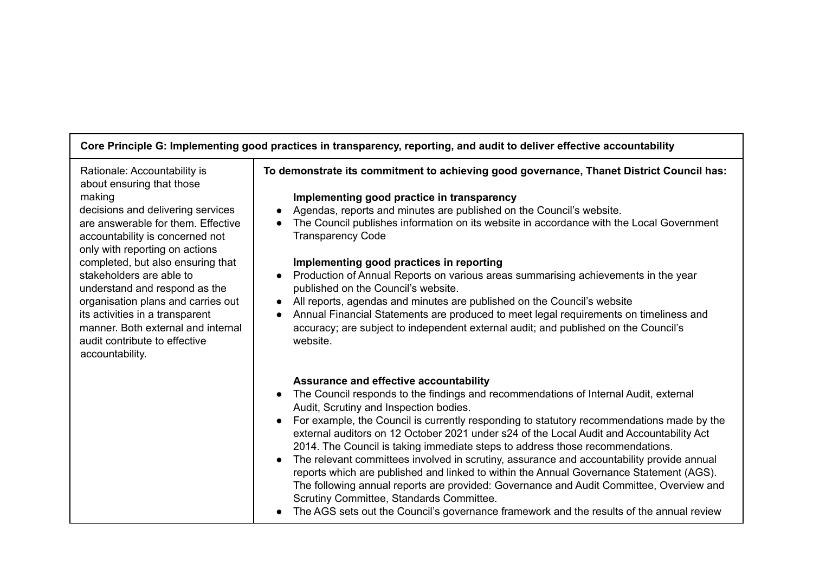# **Core Principle G: Implementing good practices in transparency, reporting, and audit to deliver effective accountability**

Rationale: Accountability is about ensuring that those making

decisions and delivering services are answerable for them. Effective accountability is concerned not only with reporting on actions completed, but also ensuring that stakeholders are able to understand and respond as the organisation plans and carries out its activities in a transparent manner. Both external and internal audit contribute to effective accountability.

# **To demonstrate its commitment to achieving good governance, Thanet District Council has:**

### **Implementing good practice in transparency**

- Agendas, reports and minutes are published on the Council's website.
- The Council publishes information on its website in accordance with the Local Government Transparency Code

# **Implementing good practices in reporting**

- Production of Annual Reports on various areas summarising achievements in the year published on the Council's website.
- All reports, agendas and minutes are published on the Council's website
- Annual Financial Statements are produced to meet legal requirements on timeliness and accuracy; are subject to independent external audit; and published on the Council's website.

### **Assurance and effective accountability**

- The Council responds to the findings and recommendations of Internal Audit, external Audit, Scrutiny and Inspection bodies.
- For example, the Council is currently responding to statutory recommendations made by the external auditors on 12 October 2021 under s24 of the Local Audit and Accountability Act 2014. The Council is taking immediate steps to address those recommendations.
- The relevant committees involved in scrutiny, assurance and accountability provide annual reports which are published and linked to within the Annual Governance Statement (AGS). The following annual reports are provided: Governance and Audit Committee, Overview and Scrutiny Committee, Standards Committee.
- The AGS sets out the Council's governance framework and the results of the annual review